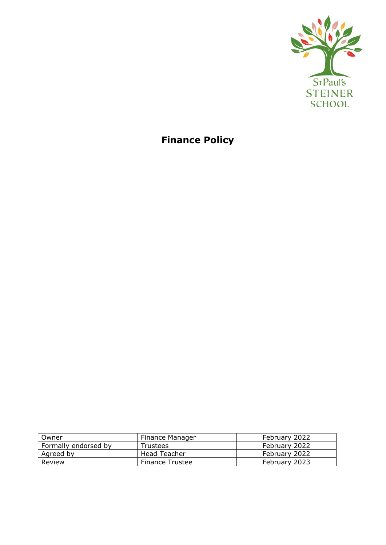

**Finance Policy**

| Owner                | Finance Manager        | February 2022 |
|----------------------|------------------------|---------------|
| Formally endorsed by | Trustees               | February 2022 |
| Agreed by            | Head Teacher           | February 2022 |
| Review               | <b>Finance Trustee</b> | February 2023 |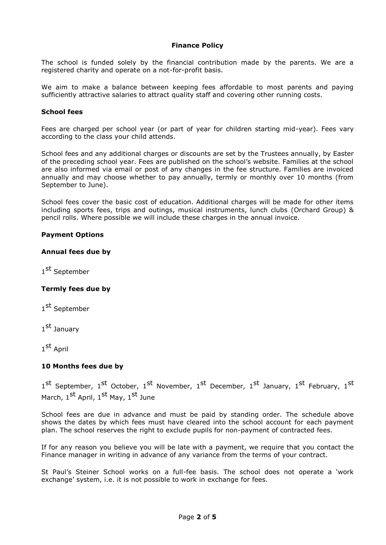## **Finance Policy**

The school is funded solely by the financial contribution made by the parents. We are a registered charity and operate on a not-for-profit basis.

We aim to make a balance between keeping fees affordable to most parents and paying sufficiently attractive salaries to attract quality staff and covering other running costs.

### **School fees**

Fees are charged per school year (or part of year for children starting mid-year). Fees vary according to the class your child attends.

School fees and any additional charges or discounts are set by the Trustees annually, by Easter of the preceding school year. Fees are published on the school's website. Families at the school are also informed via email or post of any changes in the fee structure. Families are invoiced annually and may choose whether to pay annually, termly or monthly over 10 months (from September to June).

School fees cover the basic cost of education. Additional charges will be made for other items including sports fees, trips and outings, musical instruments, lunch clubs (Orchard Group) & pencil rolls. Where possible we will include these charges in the annual invoice.

## **Payment Options**

## **Annual fees due by**

1<sup>st</sup> September

# **Termly fees due by**

1<sup>st</sup> September

1<sup>st</sup> January

1<sup>st</sup> April

# **10 Months fees due by**

1<sup>st</sup> September, 1<sup>st</sup> October, 1<sup>st</sup> November, 1<sup>st</sup> December, 1<sup>st</sup> January, 1<sup>st</sup> February, 1<sup>st</sup> March, 1<sup>st</sup> April, 1<sup>st</sup> May, 1<sup>st</sup> June

School fees are due in advance and must be paid by standing order. The schedule above shows the dates by which fees must have cleared into the school account for each payment plan. The school reserves the right to exclude pupils for non-payment of contracted fees.

If for any reason you believe you will be late with a payment, we require that you contact the Finance manager in writing in advance of any variance from the terms of your contract.

St Paul's Steiner School works on a full-fee basis. The school does not operate a 'work exchange' system, i.e. it is not possible to work in exchange for fees.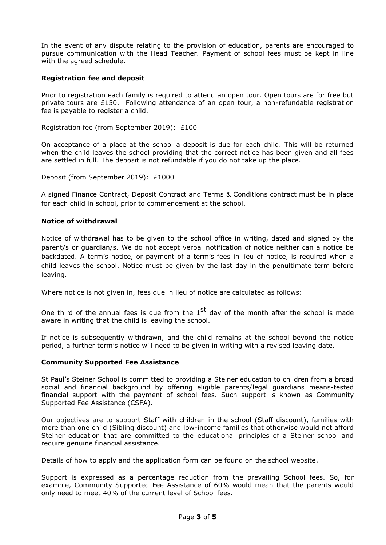In the event of any dispute relating to the provision of education, parents are encouraged to pursue communication with the Head Teacher. Payment of school fees must be kept in line with the agreed schedule.

# **Registration fee and deposit**

Prior to registration each family is required to attend an open tour. Open tours are for free but private tours are £150. Following attendance of an open tour, a non-refundable registration fee is payable to register a child.

Registration fee (from September 2019): £100

On acceptance of a place at the school a deposit is due for each child. This will be returned when the child leaves the school providing that the correct notice has been given and all fees are settled in full. The deposit is not refundable if you do not take up the place.

Deposit (from September 2019): £1000

A signed Finance Contract, Deposit Contract and Terms & Conditions contract must be in place for each child in school, prior to commencement at the school.

## **Notice of withdrawal**

Notice of withdrawal has to be given to the school office in writing, dated and signed by the parent/s or guardian/s. We do not accept verbal notification of notice neither can a notice be backdated. A term's notice, or payment of a term's fees in lieu of notice, is required when a child leaves the school. Notice must be given by the last day in the penultimate term before leaving.

Where notice is not given in, fees due in lieu of notice are calculated as follows:

One third of the annual fees is due from the  $1^{st}$  day of the month after the school is made aware in writing that the child is leaving the school.

If notice is subsequently withdrawn, and the child remains at the school beyond the notice period, a further term's notice will need to be given in writing with a revised leaving date.

#### **Community Supported Fee Assistance**

St Paul's Steiner School is committed to providing a Steiner education to children from a broad social and financial background by offering eligible parents/legal guardians means-tested financial support with the payment of school fees. Such support is known as Community Supported Fee Assistance (CSFA).

Our objectives are to support Staff with children in the school (Staff discount), families with more than one child (Sibling discount) and low-income families that otherwise would not afford Steiner education that are committed to the educational principles of a Steiner school and require genuine financial assistance.

Details of how to apply and the application form can be found on the school website.

Support is expressed as a percentage reduction from the prevailing School fees. So, for example, Community Supported Fee Assistance of 60% would mean that the parents would only need to meet 40% of the current level of School fees.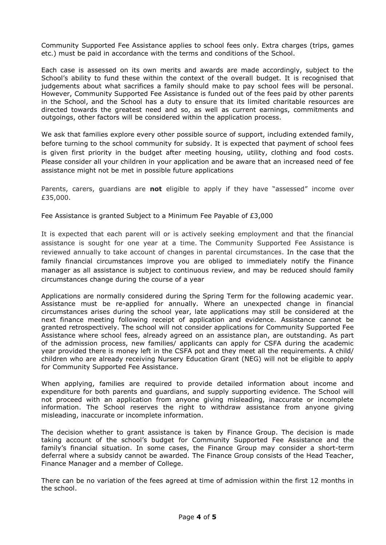Community Supported Fee Assistance applies to school fees only. Extra charges (trips, games etc.) must be paid in accordance with the terms and conditions of the School.

Each case is assessed on its own merits and awards are made accordingly, subject to the School's ability to fund these within the context of the overall budget. It is recognised that judgements about what sacrifices a family should make to pay school fees will be personal. However, Community Supported Fee Assistance is funded out of the fees paid by other parents in the School, and the School has a duty to ensure that its limited charitable resources are directed towards the greatest need and so, as well as current earnings, commitments and outgoings, other factors will be considered within the application process.

We ask that families explore every other possible source of support, including extended family, before turning to the school community for subsidy. It is expected that payment of school fees is given first priority in the budget after meeting housing, utility, clothing and food costs. Please consider all your children in your application and be aware that an increased need of fee assistance might not be met in possible future applications

Parents, carers, guardians are **not** eligible to apply if they have "assessed" income over £35,000.

Fee Assistance is granted Subject to a Minimum Fee Payable of £3,000

It is expected that each parent will or is actively seeking employment and that the financial assistance is sought for one year at a time. The Community Supported Fee Assistance is reviewed annually to take account of changes in parental circumstances. In the case that the family financial circumstances improve you are obliged to immediately notify the Finance manager as all assistance is subject to continuous review, and may be reduced should family circumstances change during the course of a year

Applications are normally considered during the Spring Term for the following academic year. Assistance must be re-applied for annually. Where an unexpected change in financial circumstances arises during the school year, late applications may still be considered at the next finance meeting following receipt of application and evidence. Assistance cannot be granted retrospectively. The school will not consider applications for Community Supported Fee Assistance where school fees, already agreed on an assistance plan, are outstanding. As part of the admission process, new families/ applicants can apply for CSFA during the academic year provided there is money left in the CSFA pot and they meet all the requirements. A child/ children who are already receiving Nursery Education Grant (NEG) will not be eligible to apply for Community Supported Fee Assistance.

When applying, families are required to provide detailed information about income and expenditure for both parents and guardians, and supply supporting evidence. The School will not proceed with an application from anyone giving misleading, inaccurate or incomplete information. The School reserves the right to withdraw assistance from anyone giving misleading, inaccurate or incomplete information.

The decision whether to grant assistance is taken by Finance Group. The decision is made taking account of the school's budget for Community Supported Fee Assistance and the family's financial situation. In some cases, the Finance Group may consider a short-term deferral where a subsidy cannot be awarded. The Finance Group consists of the Head Teacher, Finance Manager and a member of College.

There can be no variation of the fees agreed at time of admission within the first 12 months in the school.